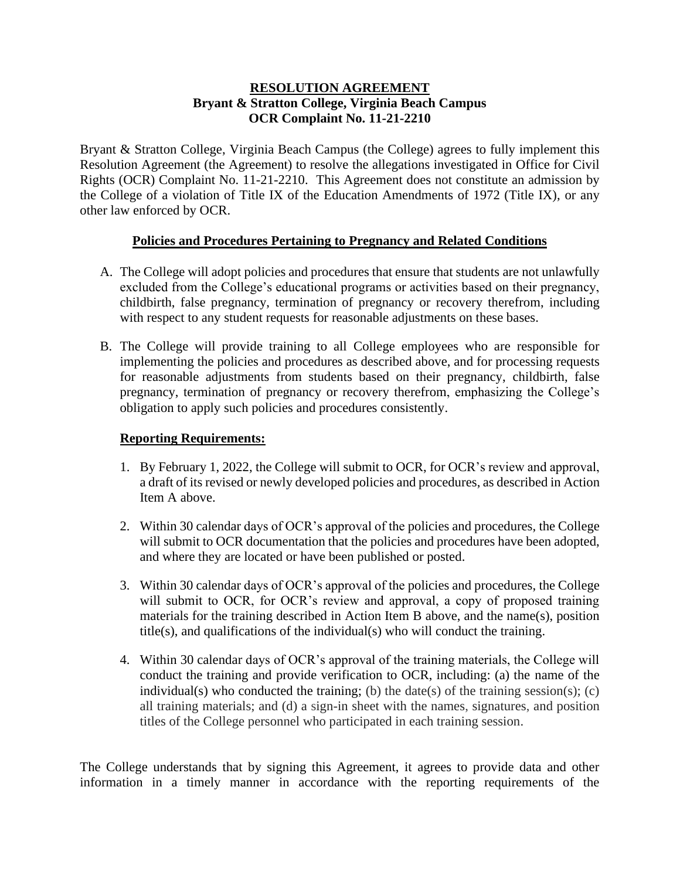## **RESOLUTION AGREEMENT Bryant & Stratton College, Virginia Beach Campus OCR Complaint No. 11-21-2210**

Bryant & Stratton College, Virginia Beach Campus (the College) agrees to fully implement this Resolution Agreement (the Agreement) to resolve the allegations investigated in Office for Civil Rights (OCR) Complaint No. 11-21-2210. This Agreement does not constitute an admission by the College of a violation of Title IX of the Education Amendments of 1972 (Title IX), or any other law enforced by OCR.

## **Policies and Procedures Pertaining to Pregnancy and Related Conditions**

- A. The College will adopt policies and procedures that ensure that students are not unlawfully excluded from the College's educational programs or activities based on their pregnancy, childbirth, false pregnancy, termination of pregnancy or recovery therefrom, including with respect to any student requests for reasonable adjustments on these bases.
- B. The College will provide training to all College employees who are responsible for implementing the policies and procedures as described above, and for processing requests for reasonable adjustments from students based on their pregnancy, childbirth, false pregnancy, termination of pregnancy or recovery therefrom, emphasizing the College's obligation to apply such policies and procedures consistently.

## **Reporting Requirements:**

- 1. By February 1, 2022, the College will submit to OCR, for OCR's review and approval, a draft of its revised or newly developed policies and procedures, as described in Action Item A above.
- 2. Within 30 calendar days of OCR's approval of the policies and procedures, the College will submit to OCR documentation that the policies and procedures have been adopted, and where they are located or have been published or posted.
- 3. Within 30 calendar days of OCR's approval of the policies and procedures, the College will submit to OCR, for OCR's review and approval, a copy of proposed training materials for the training described in Action Item B above, and the name(s), position title(s), and qualifications of the individual(s) who will conduct the training.
- 4. Within 30 calendar days of OCR's approval of the training materials, the College will conduct the training and provide verification to OCR, including: (a) the name of the individual(s) who conducted the training; (b) the date(s) of the training session(s); (c) all training materials; and (d) a sign-in sheet with the names, signatures, and position titles of the College personnel who participated in each training session.

The College understands that by signing this Agreement, it agrees to provide data and other information in a timely manner in accordance with the reporting requirements of the